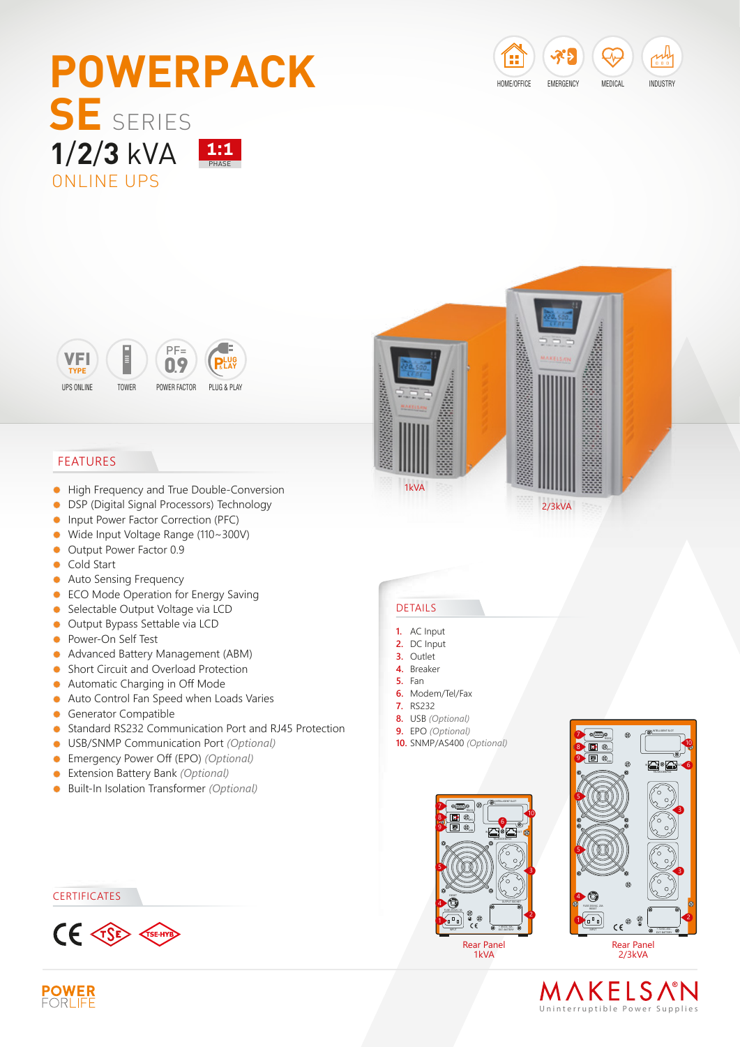







## FEATURES

- $\bullet$ High Frequency and True Double-Conversion
- **DSP (Digital Signal Processors) Technology**
- $\bullet$ Input Power Factor Correction (PFC)
- Wide Input Voltage Range (110~300V)  $\bullet$
- Output Power Factor 0.9
- **Cold Start**
- Auto Sensing Frequency  $\bullet$
- **ECO Mode Operation for Energy Saving**
- Selectable Output Voltage via LCD
- Output Bypass Settable via LCD
- **•** Power-On Self Test
- Advanced Battery Management (ABM)
- **Short Circuit and Overload Protection**
- Automatic Charging in Off Mode  $\bullet$
- Auto Control Fan Speed when Loads Varies  $\bullet$
- **Generator Compatible**
- Standard RS232 Communication Port and RJ45 Protection  $\bullet$
- $\bullet$ USB/SNMP Communication Port *(Optional)*
- Emergency Power Off (EPO) *(Optional)*
- Extension Battery Bank *(Optional)*
- Built-In Isolation Transformer *(Optional)*  $\bullet$

#### **CERTIFICATES**



### DETAILS

- **1.** AC Input
- **2.** DC Input
- **3.** Outlet
- **4.** Breaker
- **5.** Fan
- **6.** Modem/Tel/Fax
- **7.** RS232
- **8.** USB *(Optional)*
- **9.** EPO *(Optional)* **10.** SNMP/AS400 *(Optional)*



1kVA



## MAKELSNM Uninterruptible Power Supplie s